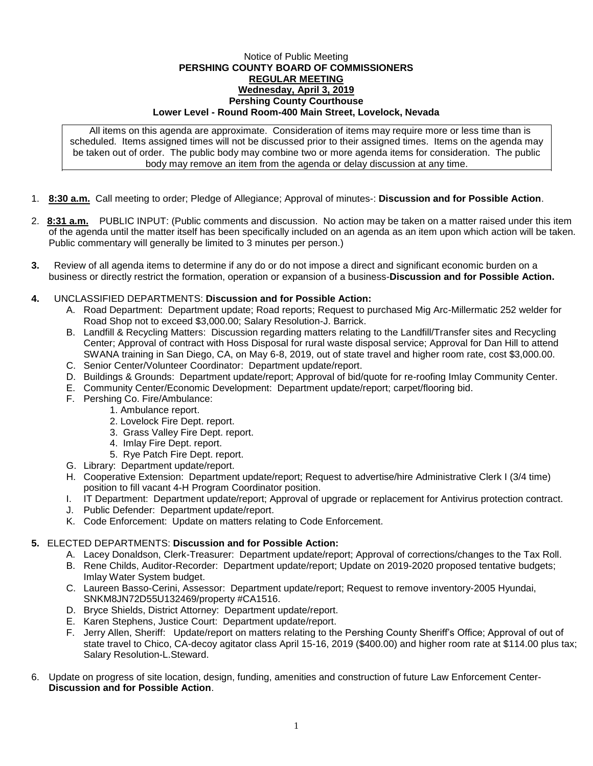## Notice of Public Meeting **PERSHING COUNTY BOARD OF COMMISSIONERS REGULAR MEETING Wednesday, April 3, 2019 Pershing County Courthouse Lower Level - Round Room-400 Main Street, Lovelock, Nevada**

All items on this agenda are approximate. Consideration of items may require more or less time than is scheduled. Items assigned times will not be discussed prior to their assigned times. Items on the agenda may be taken out of order. The public body may combine two or more agenda items for consideration. The public body may remove an item from the agenda or delay discussion at any time.

- 1. **8:30 a.m.** Call meeting to order; Pledge of Allegiance; Approval of minutes-: **Discussion and for Possible Action**.
- 2. **8:31 a.m.** PUBLIC INPUT: (Public comments and discussion. No action may be taken on a matter raised under this item of the agenda until the matter itself has been specifically included on an agenda as an item upon which action will be taken. Public commentary will generally be limited to 3 minutes per person.)
- **3.** Review of all agenda items to determine if any do or do not impose a direct and significant economic burden on a business or directly restrict the formation, operation or expansion of a business-**Discussion and for Possible Action.**
- **4.** UNCLASSIFIED DEPARTMENTS: **Discussion and for Possible Action:**
	- A. Road Department: Department update; Road reports; Request to purchased Mig Arc-Millermatic 252 welder for Road Shop not to exceed \$3,000.00; Salary Resolution-J. Barrick.
	- B. Landfill & Recycling Matters: Discussion regarding matters relating to the Landfill/Transfer sites and Recycling Center; Approval of contract with Hoss Disposal for rural waste disposal service; Approval for Dan Hill to attend SWANA training in San Diego, CA, on May 6-8, 2019, out of state travel and higher room rate, cost \$3,000.00.
	- C. Senior Center/Volunteer Coordinator: Department update/report.
	- D. Buildings & Grounds: Department update/report; Approval of bid/quote for re-roofing Imlay Community Center.
	- E. Community Center/Economic Development: Department update/report; carpet/flooring bid.
	- F. Pershing Co. Fire/Ambulance:
		- 1. Ambulance report.
			- 2. Lovelock Fire Dept. report.
			- 3. Grass Valley Fire Dept. report.
			- 4. Imlay Fire Dept. report.
			- 5. Rye Patch Fire Dept. report.
	- G. Library: Department update/report.
	- H. Cooperative Extension: Department update/report; Request to advertise/hire Administrative Clerk I (3/4 time) position to fill vacant 4-H Program Coordinator position.
	- I. IT Department: Department update/report; Approval of upgrade or replacement for Antivirus protection contract.
	- J. Public Defender: Department update/report.
	- K. Code Enforcement: Update on matters relating to Code Enforcement.
- **5.** ELECTED DEPARTMENTS: **Discussion and for Possible Action:**
	- A. Lacey Donaldson, Clerk-Treasurer: Department update/report; Approval of corrections/changes to the Tax Roll.
	- B. Rene Childs, Auditor-Recorder: Department update/report; Update on 2019-2020 proposed tentative budgets; Imlay Water System budget.
	- C. Laureen Basso-Cerini, Assessor: Department update/report; Request to remove inventory-2005 Hyundai, SNKM8JN72D55U132469/property #CA1516.
	- D. Bryce Shields, District Attorney: Department update/report.
	- E. Karen Stephens, Justice Court: Department update/report.
	- F. Jerry Allen, Sheriff: Update/report on matters relating to the Pershing County Sheriff's Office; Approval of out of state travel to Chico, CA-decoy agitator class April 15-16, 2019 (\$400.00) and higher room rate at \$114.00 plus tax; Salary Resolution-L.Steward.
- 6. Update on progress of site location, design, funding, amenities and construction of future Law Enforcement Center-**Discussion and for Possible Action**.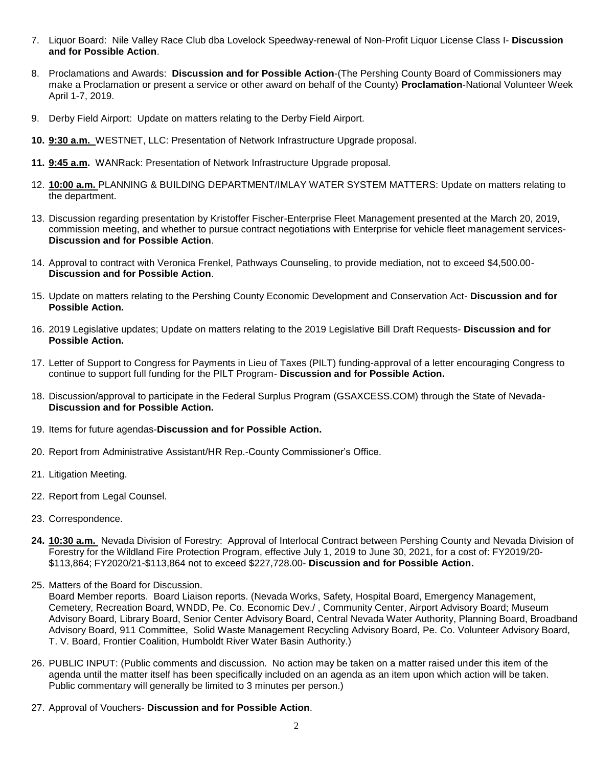- 7. Liquor Board: Nile Valley Race Club dba Lovelock Speedway-renewal of Non-Profit Liquor License Class I- **Discussion and for Possible Action**.
- 8. Proclamations and Awards: **Discussion and for Possible Action**-(The Pershing County Board of Commissioners may make a Proclamation or present a service or other award on behalf of the County) **Proclamation**-National Volunteer Week April 1-7, 2019.
- 9. Derby Field Airport: Update on matters relating to the Derby Field Airport.
- **10. 9:30 a.m.** WESTNET, LLC: Presentation of Network Infrastructure Upgrade proposal.
- **11. 9:45 a.m.** WANRack: Presentation of Network Infrastructure Upgrade proposal.
- 12. **10:00 a.m.** PLANNING & BUILDING DEPARTMENT/IMLAY WATER SYSTEM MATTERS: Update on matters relating to the department.
- 13. Discussion regarding presentation by Kristoffer Fischer-Enterprise Fleet Management presented at the March 20, 2019, commission meeting, and whether to pursue contract negotiations with Enterprise for vehicle fleet management services-**Discussion and for Possible Action**.
- 14. Approval to contract with Veronica Frenkel, Pathways Counseling, to provide mediation, not to exceed \$4,500.00- **Discussion and for Possible Action**.
- 15. Update on matters relating to the Pershing County Economic Development and Conservation Act- **Discussion and for Possible Action.**
- 16. 2019 Legislative updates; Update on matters relating to the 2019 Legislative Bill Draft Requests- **Discussion and for Possible Action.**
- 17. Letter of Support to Congress for Payments in Lieu of Taxes (PILT) funding-approval of a letter encouraging Congress to continue to support full funding for the PILT Program- **Discussion and for Possible Action.**
- 18. Discussion/approval to participate in the Federal Surplus Program (GSAXCESS.COM) through the State of Nevada-**Discussion and for Possible Action.**
- 19. Items for future agendas-**Discussion and for Possible Action.**
- 20. Report from Administrative Assistant/HR Rep.-County Commissioner's Office.
- 21. Litigation Meeting.
- 22. Report from Legal Counsel.
- 23. Correspondence.
- **24. 10:30 a.m.** Nevada Division of Forestry: Approval of Interlocal Contract between Pershing County and Nevada Division of Forestry for the Wildland Fire Protection Program, effective July 1, 2019 to June 30, 2021, for a cost of: FY2019/20- \$113,864; FY2020/21-\$113,864 not to exceed \$227,728.00- **Discussion and for Possible Action.**
- 25. Matters of the Board for Discussion.

Board Member reports. Board Liaison reports. (Nevada Works, Safety, Hospital Board, Emergency Management, Cemetery, Recreation Board, WNDD, Pe. Co. Economic Dev./ , Community Center, Airport Advisory Board; Museum Advisory Board, Library Board, Senior Center Advisory Board, Central Nevada Water Authority, Planning Board, Broadband Advisory Board, 911 Committee, Solid Waste Management Recycling Advisory Board, Pe. Co. Volunteer Advisory Board, T. V. Board, Frontier Coalition, Humboldt River Water Basin Authority.)

- 26. PUBLIC INPUT: (Public comments and discussion. No action may be taken on a matter raised under this item of the agenda until the matter itself has been specifically included on an agenda as an item upon which action will be taken. Public commentary will generally be limited to 3 minutes per person.)
- 27. Approval of Vouchers- **Discussion and for Possible Action**.